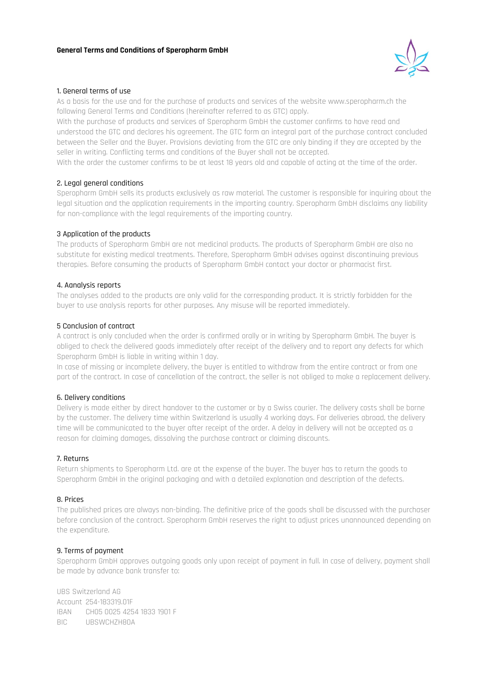

### 1. General terms of use

As a basis for the use and for the purchase of products and services of the website www.speropharm.ch the following General Terms and Conditions (hereinafter referred to as GTC) apply.

With the purchase of products and services of Speropharm GmbH the customer confirms to have read and understood the GTC and declares his agreement. The GTC form an integral part of the purchase contract concluded between the Seller and the Buyer. Provisions deviating from the GTC are only binding if they are accepted by the seller in writing. Conflicting terms and conditions of the Buyer shall not be accepted.

With the order the customer confirms to be at least 18 years old and capable of acting at the time of the order.

### 2. Legal general conditions

Speropharm GmbH sells its products exclusively as raw material. The customer is responsible for inquiring about the legal situation and the application requirements in the importing country. Speropharm GmbH disclaims any liability for non-compliance with the legal requirements of the importing country.

### 3 Application of the products

The products of Speropharm GmbH are not medicinal products. The products of Speropharm GmbH are also no substitute for existing medical treatments. Therefore, Speropharm GmbH advises against discontinuing previous therapies. Before consuming the products of Speropharm GmbH contact your doctor or pharmacist first.

### 4. Aanalysis reports

The analyses added to the products are only valid for the corresponding product. It is strictly forbidden for the buyer to use analysis reports for other purposes. Any misuse will be reported immediately.

### 5 Conclusion of contract

A contract is only concluded when the order is confirmed orally or in writing by Speropharm GmbH. The buyer is obliged to check the delivered goods immediately after receipt of the delivery and to report any defects for which Speropharm GmbH is liable in writing within 1 day.

In case of missing or incomplete delivery, the buyer is entitled to withdraw from the entire contract or from one part of the contract. In case of cancellation of the contract, the seller is not obliged to make a replacement delivery.

### 6. Delivery conditions

Delivery is made either by direct handover to the customer or by a Swiss courier. The delivery costs shall be borne by the customer. The delivery time within Switzerland is usually 4 working days. For deliveries abroad, the delivery time will be communicated to the buyer after receipt of the order. A delay in delivery will not be accepted as a reason for claiming damages, dissolving the purchase contract or claiming discounts.

### 7. Returns

Return shipments to Speropharm Ltd. are at the expense of the buyer. The buyer has to return the goods to Speropharm GmbH in the original packaging and with a detailed explanation and description of the defects.

### 8. Prices

The published prices are always non-binding. The definitive price of the goods shall be discussed with the purchaser before conclusion of the contract. Speropharm GmbH reserves the right to adjust prices unannounced depending on the expenditure.

### 9. Terms of payment

Speropharm GmbH approves outgoing goods only upon receipt of payment in full. In case of delivery, payment shall be made by advance bank transfer to:

UBS Switzerland AG Account 254-183319.01F IBAN CH05 0025 4254 1833 1901 F BIC UBSWCHZH80A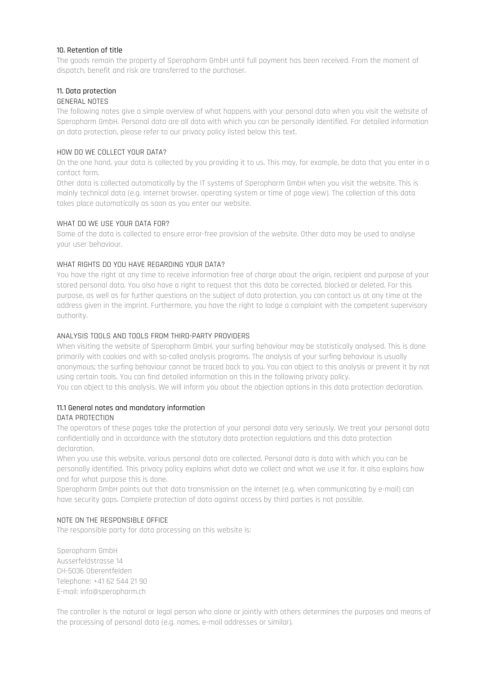### 10. Retention of title

The goods remain the property of Speropharm GmbH until full payment has been received. From the moment of dispatch, benefit and risk are transferred to the purchaser.

# 11. Data protection

# GENERAL NOTES

The following notes give a simple overview of what happens with your personal data when you visit the website of Speropharm GmbH. Personal data are all data with which you can be personally identified. For detailed information on data protection, please refer to our privacy policy listed below this text.

# HOW DO WE COLLECT YOUR DATA?

On the one hand, your data is collected by you providing it to us. This may, for example, be data that you enter in a contact form.

Other data is collected automatically by the IT systems of Speropharm GmbH when you visit the website. This is mainly technical data (e.g. Internet browser, operating system or time of page view). The collection of this data takes place automatically as soon as you enter our website.

### WHAT DO WE USE YOUR DATA FOR?

Some of the data is collected to ensure error-free provision of the website. Other data may be used to analyse your user behaviour.

# WHAT RIGHTS DO YOU HAVE REGARDING YOUR DATA?

You have the right at any time to receive information free of charge about the origin, recipient and purpose of your stored personal data. You also have a right to request that this data be corrected, blocked or deleted. For this purpose, as well as for further questions on the subject of data protection, you can contact us at any time at the address given in the imprint. Furthermore, you have the right to lodge a complaint with the competent supervisory authority.

### ANALYSIS TOOLS AND TOOLS FROM THIRD-PARTY PROVIDERS

When visiting the website of Speropharm GmbH, your surfing behaviour may be statistically analysed. This is done primarily with cookies and with so-called analysis programs. The analysis of your surfing behaviour is usually anonymous; the surfing behaviour cannot be traced back to you. You can object to this analysis or prevent it by not using certain tools. You can find detailed information on this in the following privacy policy.

You can object to this analysis. We will inform you about the objection options in this data protection declaration.

# 11.1 General notes and mandatory information

### DATA PROTECTION

The operators of these pages take the protection of your personal data very seriously. We treat your personal data confidentially and in accordance with the statutory data protection regulations and this data protection declaration.

When you use this website, various personal data are collected. Personal data is data with which you can be personally identified. This privacy policy explains what data we collect and what we use it for. It also explains how and for what purpose this is done.

Speropharm GmbH points out that data transmission on the Internet (e.g. when communicating by e-mail) can have security gaps. Complete protection of data against access by third parties is not possible.

# NOTE ON THE RESPONSIBLE OFFICE

The responsible party for data processing on this website is:

Speropharm GmbH Ausserfeldstrasse 14 CH-5036 Oberentfelden Telephone: +41 62 544 21 90 E-mail: info@speropharm.ch

The controller is the natural or legal person who alone or jointly with others determines the purposes and means of the processing of personal data (e.g. names, e-mail addresses or similar).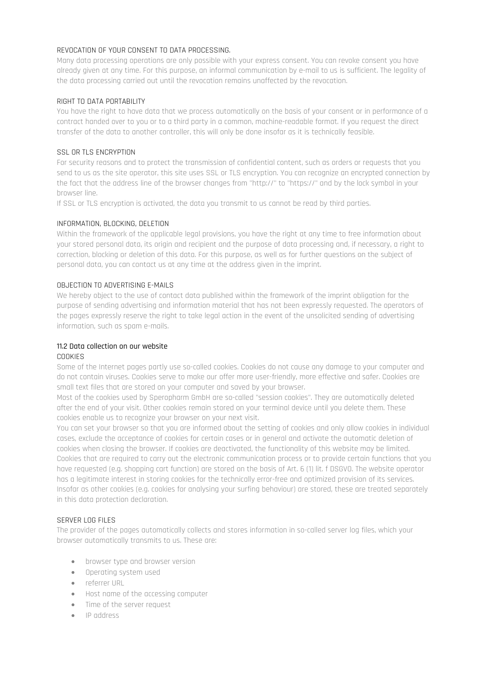### REVOCATION OF YOUR CONSENT TO DATA PROCESSING.

Many data processing operations are only possible with your express consent. You can revoke consent you have already given at any time. For this purpose, an informal communication by e-mail to us is sufficient. The legality of the data processing carried out until the revocation remains unaffected by the revocation.

### RIGHT TO DATA PORTABILITY

You have the right to have data that we process automatically on the basis of your consent or in performance of a contract handed over to you or to a third party in a common, machine-readable format. If you request the direct transfer of the data to another controller, this will only be done insofar as it is technically feasible.

# SSL OR TLS ENCRYPTION

For security reasons and to protect the transmission of confidential content, such as orders or requests that you send to us as the site operator, this site uses SSL or TLS encryption. You can recognize an encrypted connection by the fact that the address line of the browser changes from "http://" to "https://" and by the lock symbol in your browser line.

If SSL or TLS encryption is activated, the data you transmit to us cannot be read by third parties.

### INFORMATION, BLOCKING, DELETION

Within the framework of the applicable legal provisions, you have the right at any time to free information about your stored personal data, its origin and recipient and the purpose of data processing and, if necessary, a right to correction, blocking or deletion of this data. For this purpose, as well as for further questions on the subject of personal data, you can contact us at any time at the address given in the imprint.

### OBJECTION TO ADVERTISING E-MAILS

We hereby object to the use of contact data published within the framework of the imprint obligation for the purpose of sending advertising and information material that has not been expressly requested. The operators of the pages expressly reserve the right to take legal action in the event of the unsolicited sending of advertising information, such as spam e-mails.

#### 11.2 Data collection on our website COOKIES

Some of the Internet pages partly use so-called cookies. Cookies do not cause any damage to your computer and do not contain viruses. Cookies serve to make our offer more user-friendly, more effective and safer. Cookies are small text files that are stored on your computer and saved by your browser.

Most of the cookies used by Speropharm GmbH are so-called "session cookies". They are automatically deleted after the end of your visit. Other cookies remain stored on your terminal device until you delete them. These cookies enable us to recognize your browser on your next visit.

You can set your browser so that you are informed about the setting of cookies and only allow cookies in individual cases, exclude the acceptance of cookies for certain cases or in general and activate the automatic deletion of cookies when closing the browser. If cookies are deactivated, the functionality of this website may be limited. Cookies that are required to carry out the electronic communication process or to provide certain functions that you have requested (e.g. shopping cart function) are stored on the basis of Art. 6 (1) lit. f DSGVO. The website operator has a legitimate interest in storing cookies for the technically error-free and optimized provision of its services. Insofar as other cookies (e.g. cookies for analysing your surfing behaviour) are stored, these are treated separately in this data protection declaration.

# SERVER LOG FILES

The provider of the pages automatically collects and stores information in so-called server log files, which your browser automatically transmits to us. These are:

- browser type and browser version
- Operating system used
- referrer URL
- Host name of the accessing computer
- Time of the server request
- IP address